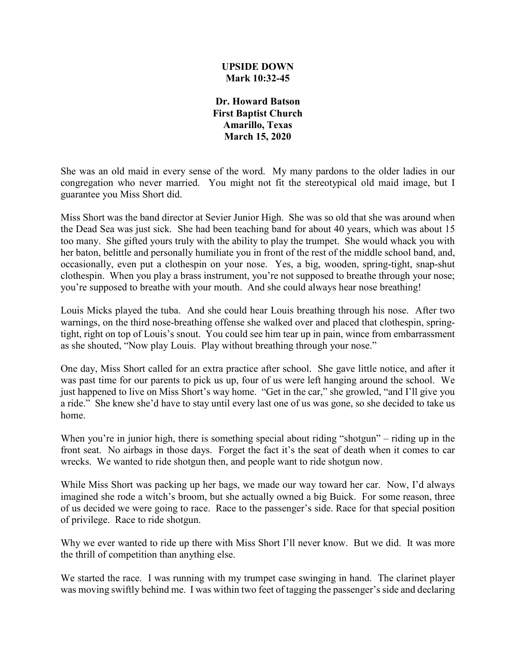### **UPSIDE DOWN Mark 10:32-45**

**Dr. Howard Batson First Baptist Church Amarillo, Texas March 15, 2020**

She was an old maid in every sense of the word. My many pardons to the older ladies in our congregation who never married. You might not fit the stereotypical old maid image, but I guarantee you Miss Short did.

Miss Short was the band director at Sevier Junior High. She was so old that she was around when the Dead Sea was just sick. She had been teaching band for about 40 years, which was about 15 too many. She gifted yours truly with the ability to play the trumpet. She would whack you with her baton, belittle and personally humiliate you in front of the rest of the middle school band, and, occasionally, even put a clothespin on your nose. Yes, a big, wooden, spring-tight, snap-shut clothespin. When you play a brass instrument, you're not supposed to breathe through your nose; you're supposed to breathe with your mouth. And she could always hear nose breathing!

Louis Micks played the tuba. And she could hear Louis breathing through his nose. After two warnings, on the third nose-breathing offense she walked over and placed that clothespin, springtight, right on top of Louis's snout. You could see him tear up in pain, wince from embarrassment as she shouted, "Now play Louis. Play without breathing through your nose."

One day, Miss Short called for an extra practice after school. She gave little notice, and after it was past time for our parents to pick us up, four of us were left hanging around the school. We just happened to live on Miss Short's way home. "Get in the car," she growled, "and I'll give you a ride." She knew she'd have to stay until every last one of us was gone, so she decided to take us home.

When you're in junior high, there is something special about riding "shotgun" – riding up in the front seat. No airbags in those days. Forget the fact it's the seat of death when it comes to car wrecks. We wanted to ride shotgun then, and people want to ride shotgun now.

While Miss Short was packing up her bags, we made our way toward her car. Now, I'd always imagined she rode a witch's broom, but she actually owned a big Buick. For some reason, three of us decided we were going to race. Race to the passenger's side. Race for that special position of privilege. Race to ride shotgun.

Why we ever wanted to ride up there with Miss Short I'll never know. But we did. It was more the thrill of competition than anything else.

We started the race. I was running with my trumpet case swinging in hand. The clarinet player was moving swiftly behind me. I was within two feet of tagging the passenger's side and declaring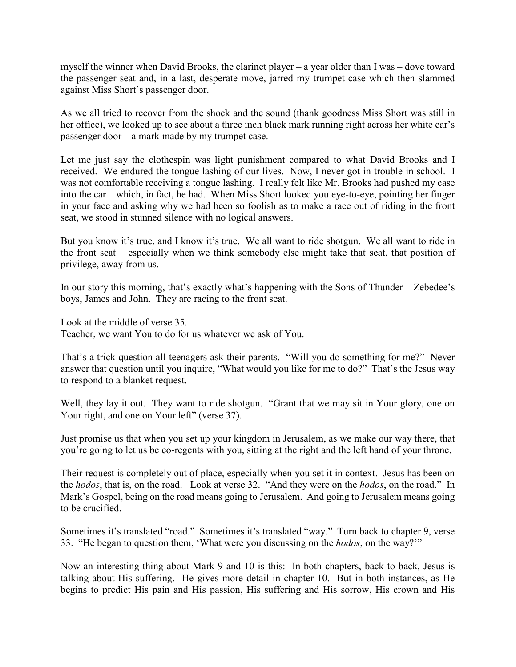myself the winner when David Brooks, the clarinet player – a year older than I was – dove toward the passenger seat and, in a last, desperate move, jarred my trumpet case which then slammed against Miss Short's passenger door.

As we all tried to recover from the shock and the sound (thank goodness Miss Short was still in her office), we looked up to see about a three inch black mark running right across her white car's passenger door – a mark made by my trumpet case.

Let me just say the clothespin was light punishment compared to what David Brooks and I received. We endured the tongue lashing of our lives. Now, I never got in trouble in school. I was not comfortable receiving a tongue lashing. I really felt like Mr. Brooks had pushed my case into the car – which, in fact, he had. When Miss Short looked you eye-to-eye, pointing her finger in your face and asking why we had been so foolish as to make a race out of riding in the front seat, we stood in stunned silence with no logical answers.

But you know it's true, and I know it's true. We all want to ride shotgun. We all want to ride in the front seat – especially when we think somebody else might take that seat, that position of privilege, away from us.

In our story this morning, that's exactly what's happening with the Sons of Thunder – Zebedee's boys, James and John. They are racing to the front seat.

Look at the middle of verse 35. Teacher, we want You to do for us whatever we ask of You.

That's a trick question all teenagers ask their parents. "Will you do something for me?" Never answer that question until you inquire, "What would you like for me to do?" That's the Jesus way to respond to a blanket request.

Well, they lay it out. They want to ride shotgun. "Grant that we may sit in Your glory, one on Your right, and one on Your left" (verse 37).

Just promise us that when you set up your kingdom in Jerusalem, as we make our way there, that you're going to let us be co-regents with you, sitting at the right and the left hand of your throne.

Their request is completely out of place, especially when you set it in context. Jesus has been on the *hodos*, that is, on the road. Look at verse 32. "And they were on the *hodos*, on the road." In Mark's Gospel, being on the road means going to Jerusalem. And going to Jerusalem means going to be crucified.

Sometimes it's translated "road." Sometimes it's translated "way." Turn back to chapter 9, verse 33. "He began to question them, 'What were you discussing on the *hodos*, on the way?'"

Now an interesting thing about Mark 9 and 10 is this: In both chapters, back to back, Jesus is talking about His suffering. He gives more detail in chapter 10. But in both instances, as He begins to predict His pain and His passion, His suffering and His sorrow, His crown and His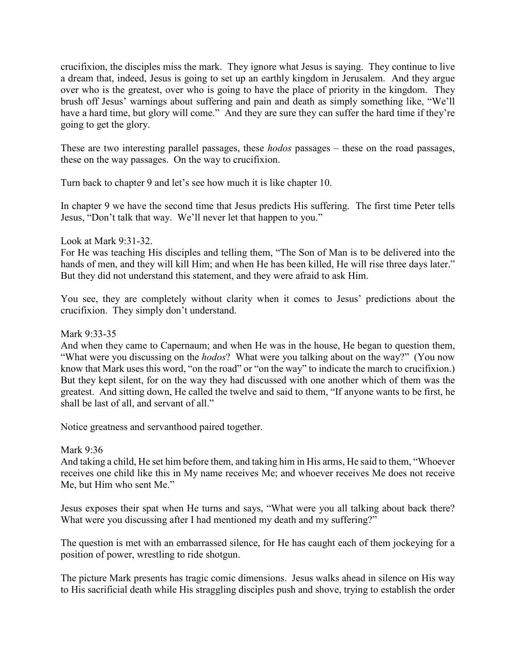crucifixion, the disciples miss the mark. They ignore what Jesus is saying. They continue to live a dream that, indeed, Jesus is going to set up an earthly kingdom in Jerusalem. And they argue over who is the greatest, over who is going to have the place of priority in the kingdom. They brush off Jesus' warnings about suffering and pain and death as simply something like, "We'll have a hard time, but glory will come." And they are sure they can suffer the hard time if they're going to get the glory.

These are two interesting parallel passages, these *hodos* passages – these on the road passages, these on the way passages. On the way to crucifixion.

Turn back to chapter 9 and let's see how much it is like chapter 10.

In chapter 9 we have the second time that Jesus predicts His suffering. The first time Peter tells Jesus, "Don't talk that way. We'll never let that happen to you."

Look at Mark 9:31-32.

For He was teaching His disciples and telling them, "The Son of Man is to be delivered into the hands of men, and they will kill Him; and when He has been killed, He will rise three days later." But they did not understand this statement, and they were afraid to ask Him.

You see, they are completely without clarity when it comes to Jesus' predictions about the crucifixion. They simply don't understand.

Mark 9:33-35

And when they came to Capernaum; and when He was in the house, He began to question them, "What were you discussing on the *hodos*? What were you talking about on the way?" (You now know that Mark uses this word, "on the road" or "on the way" to indicate the march to crucifixion.) But they kept silent, for on the way they had discussed with one another which of them was the greatest. And sitting down, He called the twelve and said to them, "If anyone wants to be first, he shall be last of all, and servant of all."

Notice greatness and servanthood paired together.

#### Mark 9:36

And taking a child, He set him before them, and taking him in His arms, He said to them, "Whoever receives one child like this in My name receives Me; and whoever receives Me does not receive Me, but Him who sent Me."

Jesus exposes their spat when He turns and says, "What were you all talking about back there? What were you discussing after I had mentioned my death and my suffering?"

The question is met with an embarrassed silence, for He has caught each of them jockeying for a position of power, wrestling to ride shotgun.

The picture Mark presents has tragic comic dimensions. Jesus walks ahead in silence on His way to His sacrificial death while His straggling disciples push and shove, trying to establish the order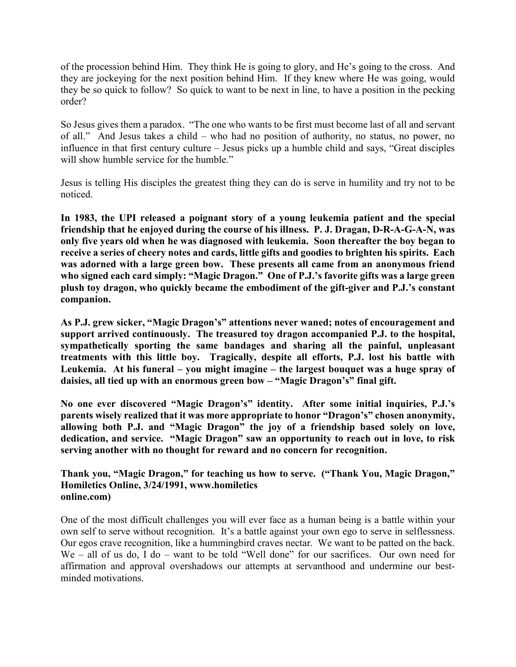of the procession behind Him. They think He is going to glory, and He's going to the cross. And they are jockeying for the next position behind Him. If they knew where He was going, would they be so quick to follow? So quick to want to be next in line, to have a position in the pecking order?

So Jesus gives them a paradox. "The one who wants to be first must become last of all and servant of all." And Jesus takes a child – who had no position of authority, no status, no power, no influence in that first century culture – Jesus picks up a humble child and says, "Great disciples will show humble service for the humble."

Jesus is telling His disciples the greatest thing they can do is serve in humility and try not to be noticed.

**In 1983, the UPI released a poignant story of a young leukemia patient and the special friendship that he enjoyed during the course of his illness. P. J. Dragan, D-R-A-G-A-N, was only five years old when he was diagnosed with leukemia. Soon thereafter the boy began to receive a series of cheery notes and cards, little gifts and goodies to brighten his spirits. Each**  was adorned with a large green bow. These presents all came from an anonymous friend **who signed each card simply: "Magic Dragon." One of P.J.'s favorite gifts was a large green plush toy dragon, who quickly became the embodiment of the gift-giver and P.J.'s constant companion.**

**As P.J. grew sicker, "Magic Dragon's" attentions never waned; notes of encouragement and support arrived continuously. The treasured toy dragon accompanied P.J. to the hospital, sympathetically sporting the same bandages and sharing all the painful, unpleasant treatments with this little boy. Tragically, despite all efforts, P.J. lost his battle with Leukemia. At his funeral – you might imagine – the largest bouquet was a huge spray of daisies, all tied up with an enormous green bow – "Magic Dragon's" final gift.**

**No one ever discovered "Magic Dragon's" identity. After some initial inquiries, P.J.'s parents wisely realized that it was more appropriate to honor "Dragon's" chosen anonymity, allowing both P.J. and "Magic Dragon" the joy of a friendship based solely on love, dedication, and service. "Magic Dragon" saw an opportunity to reach out in love, to risk serving another with no thought for reward and no concern for recognition.** 

# **Thank you, "Magic Dragon," for teaching us how to serve. ("Thank You, Magic Dragon," Homiletics Online, 3/24/1991, www.homiletics online.com)**

One of the most difficult challenges you will ever face as a human being is a battle within your own self to serve without recognition. It's a battle against your own ego to serve in selflessness. Our egos crave recognition, like a hummingbird craves nectar. We want to be patted on the back. We – all of us do, I do – want to be told "Well done" for our sacrifices. Our own need for affirmation and approval overshadows our attempts at servanthood and undermine our bestminded motivations.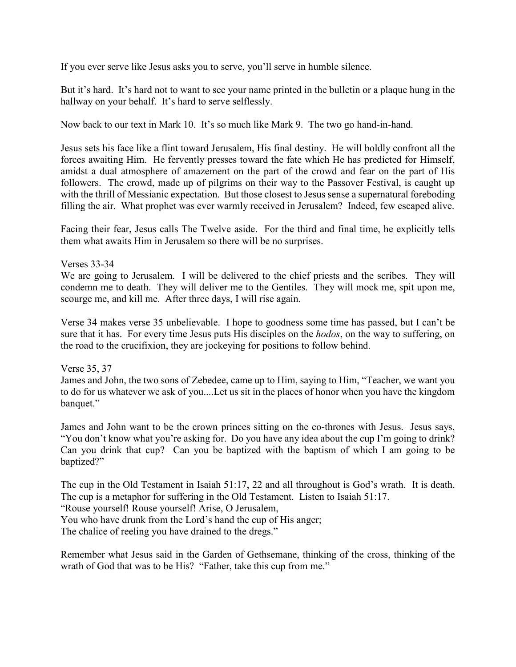If you ever serve like Jesus asks you to serve, you'll serve in humble silence.

But it's hard. It's hard not to want to see your name printed in the bulletin or a plaque hung in the hallway on your behalf. It's hard to serve selflessly.

Now back to our text in Mark 10. It's so much like Mark 9. The two go hand-in-hand.

Jesus sets his face like a flint toward Jerusalem, His final destiny. He will boldly confront all the forces awaiting Him. He fervently presses toward the fate which He has predicted for Himself, amidst a dual atmosphere of amazement on the part of the crowd and fear on the part of His followers. The crowd, made up of pilgrims on their way to the Passover Festival, is caught up with the thrill of Messianic expectation. But those closest to Jesus sense a supernatural foreboding filling the air. What prophet was ever warmly received in Jerusalem? Indeed, few escaped alive.

Facing their fear, Jesus calls The Twelve aside. For the third and final time, he explicitly tells them what awaits Him in Jerusalem so there will be no surprises.

#### Verses 33-34

We are going to Jerusalem. I will be delivered to the chief priests and the scribes. They will condemn me to death. They will deliver me to the Gentiles. They will mock me, spit upon me, scourge me, and kill me. After three days, I will rise again.

Verse 34 makes verse 35 unbelievable. I hope to goodness some time has passed, but I can't be sure that it has. For every time Jesus puts His disciples on the *hodos*, on the way to suffering, on the road to the crucifixion, they are jockeying for positions to follow behind.

Verse 35, 37

James and John, the two sons of Zebedee, came up to Him, saying to Him, "Teacher, we want you to do for us whatever we ask of you....Let us sit in the places of honor when you have the kingdom banquet."

James and John want to be the crown princes sitting on the co-thrones with Jesus. Jesus says, "You don't know what you're asking for. Do you have any idea about the cup I'm going to drink? Can you drink that cup? Can you be baptized with the baptism of which I am going to be baptized?"

The cup in the Old Testament in Isaiah 51:17, 22 and all throughout is God's wrath. It is death. The cup is a metaphor for suffering in the Old Testament. Listen to Isaiah 51:17. "Rouse yourself! Rouse yourself! Arise, O Jerusalem, You who have drunk from the Lord's hand the cup of His anger; The chalice of reeling you have drained to the dregs."

Remember what Jesus said in the Garden of Gethsemane, thinking of the cross, thinking of the wrath of God that was to be His? "Father, take this cup from me."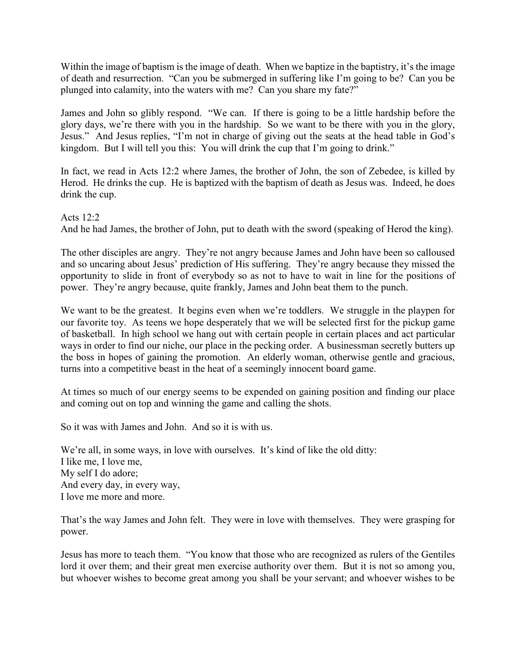Within the image of baptism is the image of death. When we baptize in the baptistry, it's the image of death and resurrection. "Can you be submerged in suffering like I'm going to be? Can you be plunged into calamity, into the waters with me? Can you share my fate?"

James and John so glibly respond. "We can. If there is going to be a little hardship before the glory days, we're there with you in the hardship. So we want to be there with you in the glory, Jesus." And Jesus replies, "I'm not in charge of giving out the seats at the head table in God's kingdom. But I will tell you this: You will drink the cup that I'm going to drink."

In fact, we read in Acts 12:2 where James, the brother of John, the son of Zebedee, is killed by Herod. He drinks the cup. He is baptized with the baptism of death as Jesus was. Indeed, he does drink the cup.

Acts 12:2 And he had James, the brother of John, put to death with the sword (speaking of Herod the king).

The other disciples are angry. They're not angry because James and John have been so calloused and so uncaring about Jesus' prediction of His suffering. They're angry because they missed the opportunity to slide in front of everybody so as not to have to wait in line for the positions of power. They're angry because, quite frankly, James and John beat them to the punch.

We want to be the greatest. It begins even when we're toddlers. We struggle in the playpen for our favorite toy. As teens we hope desperately that we will be selected first for the pickup game of basketball. In high school we hang out with certain people in certain places and act particular ways in order to find our niche, our place in the pecking order. A businessman secretly butters up the boss in hopes of gaining the promotion. An elderly woman, otherwise gentle and gracious, turns into a competitive beast in the heat of a seemingly innocent board game.

At times so much of our energy seems to be expended on gaining position and finding our place and coming out on top and winning the game and calling the shots.

So it was with James and John. And so it is with us.

We're all, in some ways, in love with ourselves. It's kind of like the old ditty: I like me, I love me, My self I do adore; And every day, in every way, I love me more and more.

That's the way James and John felt. They were in love with themselves. They were grasping for power.

Jesus has more to teach them. "You know that those who are recognized as rulers of the Gentiles lord it over them; and their great men exercise authority over them. But it is not so among you, but whoever wishes to become great among you shall be your servant; and whoever wishes to be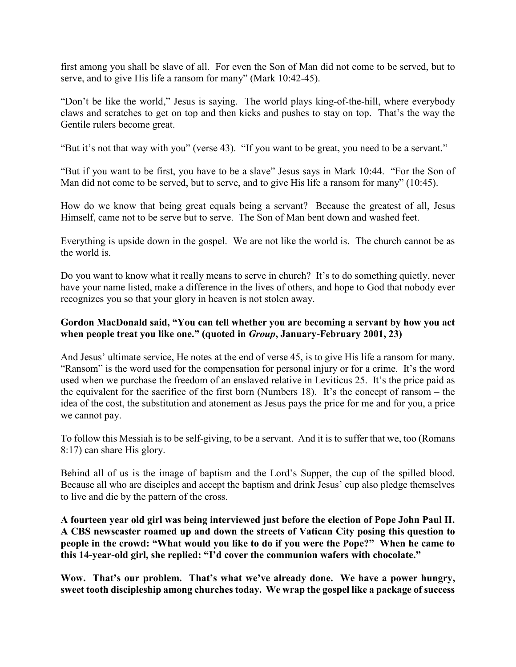first among you shall be slave of all. For even the Son of Man did not come to be served, but to serve, and to give His life a ransom for many" (Mark 10:42-45).

"Don't be like the world," Jesus is saying. The world plays king-of-the-hill, where everybody claws and scratches to get on top and then kicks and pushes to stay on top. That's the way the Gentile rulers become great.

"But it's not that way with you" (verse 43). "If you want to be great, you need to be a servant."

"But if you want to be first, you have to be a slave" Jesus says in Mark 10:44. "For the Son of Man did not come to be served, but to serve, and to give His life a ransom for many" (10:45).

How do we know that being great equals being a servant? Because the greatest of all, Jesus Himself, came not to be serve but to serve. The Son of Man bent down and washed feet.

Everything is upside down in the gospel. We are not like the world is. The church cannot be as the world is.

Do you want to know what it really means to serve in church? It's to do something quietly, never have your name listed, make a difference in the lives of others, and hope to God that nobody ever recognizes you so that your glory in heaven is not stolen away.

# **Gordon MacDonald said, "You can tell whether you are becoming a servant by how you act when people treat you like one." (quoted in** *Group***, January-February 2001, 23)**

And Jesus' ultimate service, He notes at the end of verse 45, is to give His life a ransom for many. "Ransom" is the word used for the compensation for personal injury or for a crime. It's the word used when we purchase the freedom of an enslaved relative in Leviticus 25. It's the price paid as the equivalent for the sacrifice of the first born (Numbers 18). It's the concept of ransom – the idea of the cost, the substitution and atonement as Jesus pays the price for me and for you, a price we cannot pay.

To follow this Messiah is to be self-giving, to be a servant. And it is to suffer that we, too (Romans 8:17) can share His glory.

Behind all of us is the image of baptism and the Lord's Supper, the cup of the spilled blood. Because all who are disciples and accept the baptism and drink Jesus' cup also pledge themselves to live and die by the pattern of the cross.

**A fourteen year old girl was being interviewed just before the election of Pope John Paul II. A CBS newscaster roamed up and down the streets of Vatican City posing this question to people in the crowd: "What would you like to do if you were the Pope?" When he came to this 14-year-old girl, she replied: "I'd cover the communion wafers with chocolate."** 

**Wow. That's our problem. That's what we've already done. We have a power hungry, sweet tooth discipleship among churches today. We wrap the gospel like a package of success**